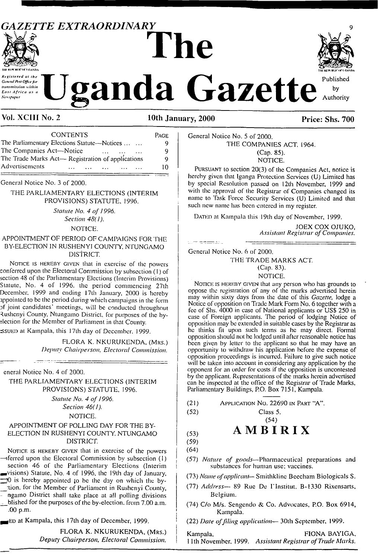## *GAZETTE EXTRAORDINARY* <sup>9</sup> **The**



General Post Office for transmission within East Africa as a .<br>Newspaper

# **Eanda** Gazette



Vol. XCIII No. 2 10th January, 2000 Price: Shs. 700

| <b>CONTENTS</b><br>The Parliamentary Elections Statute—Notices<br>The Companies Act-Notice<br>$\ddotsc$                                                                                                                                                      | PAGE |
|--------------------------------------------------------------------------------------------------------------------------------------------------------------------------------------------------------------------------------------------------------------|------|
|                                                                                                                                                                                                                                                              | O    |
|                                                                                                                                                                                                                                                              |      |
| Advertisements<br>the state of the state of the state of the state of the state of the state of the state of the state of the state of the state of the state of the state of the state of the state of the state of the state of the state of t<br>$\cdots$ | 10   |

General Notice No. 3 of 2000.

#### THE PARLIAMENTARY ELECTIONS (INTERIM PROVISIONS) STATUTE, 1996.

*Statute No. 4 of 1996.*

*Section 48( 1).*

NOTICE.

#### APPOINTMENT OF PERIOD OF CAMPAIGNS FOR THE BY-ELECTION IN RUSHENYI COUNTY, NTUNGAMO DISTRICT.

NOTICE IS HEREBY GIVEN that in exercise of the powers conferred upon the Electoral Commission by subsection (1) of section 48 of the Parliamentary Elections (Interim Provisions) Statute, No. 4 of 1996. the period commencing 27lh December. 1999 and ending 17th January, 2000 is hereby appointed to be the period during which campaigns in the form □f joint candidates' meetings, will be conducted throughout Rushenyi County, Ntungamo District, for purposes of the bylection for the Member of Parliament in that County.

ssued at Kampala, this 17th day of December, 1999.

FLORA K. NKURUKENDA, (Mrs.) *Deputy Chairperson, Electoral Commission.*

cncral Notice No. 4 of 2000.

#### THE PARLIAMENTARY ELECTIONS (INTERIM PROVISIONS) STATUTE, 1996.

*Statute No. 4 of 1996.*

*Section 46( 1).*

NOTICE.

#### APPOINTMENT OF POLLING DAY FOR THE BY-ELECTION IN RUSHENYI COUNTY. NTUNGAMO DISTRICT.

NOTICE IS HEREBY GIVEN that in exercise of the powers —iferred upon the Electoral Commission by subsection (1) section 46 of the Parliamentary Elections (Interim  $\blacktriangleright$ visions) Statute, No. 4 of 1996, the 19th day of January, <sup>10</sup> is hereby appointed to be the day on which the by- \_\_ lion, for the Member of Parliament in Rushenyi County, ngamo District shall take place at all polling divisions blished for the purposes of the by-election, from 7.00 a.m. .00 p.m.

 $\equiv$ ED at Kampala, this 17th day of December, 1999.

FLORA K. NKURUKENDA, (Mrs.) <sup>I</sup> *Deputy Chairperson, Electoral Commission. <sup>|</sup>*

General Notice No. 5 of 2000. THE COMPANIES ACT. 1964. (Cap. 85). NOTICE.

Pursuant to section 20(3) of the Companies Act, notice is hereby given that Iganga Protection Services (U) Limited has by special Resolution passed on 12th November, 1999 and with the approval of the Registrar of Companies changed its name to Task Force Security Services (U) Limited and that such new name has been entered in my register.

DATED at Kampala this 19th day of November, 1999.

JOEX COX OJUKO, *Assistant Registrar of Companies.*

General Notice No. 6 of 2000.

ilim e<del>sam</del>arlı

THE TRADE MARKS ACT.

#### (Cap. 83). NOTICE.

NOTICE IS HEREBY GIVEN that any person who has grounds to oppose (he registration of any of the marks advertised herein may within sixty days from the date of this *Gazette,* lodge a Notice of opposition on Trade Mark Form No. 6 together with a fee of Shs. 4000 in ease of National applicants or USS 250 in case of Foreign applicants. The period of lodging Notice of opposition may be extended in suitable eases by the Registrar as he thinks fit upon such terms as he may direct. Formal opposition should not be lodged until after reasonable notice has been given by letter to the applicant so that he may have an opportunity to withdraw his application before the expense of opposition proceedings is incurred. Failure to give such notice will be taken into account in considering any application by the opponent for an order for costs if the opposition is uncontested by the applicant. Representations of the marks herein advertised can be inspected at the office of the Registrar of Trade Marks, Parliamentary Buildings, P.O. Box 7151, Kampala.

- (52) Class 5.
	-

#### (54)  $\mathbf{A} \mathbf{M} \mathbf{B} \mathbf{I} \mathbf{R} \mathbf{I} \mathbf{X}$

(59) (64)

i

- (57) *Nature of goods—*Pharmaceutical preparations and substances for human use; vaccines.
- (73) *Name of applicant* Smithkline Beecham Biologicals S.
- (77) *Address—* 89 Rue De I'lnstitut, B-1330 Rixensarts, Belgium.
- (74) C/o M/s. Sengendo & Co. Advocates, P.O. Box 6914, Kampala.

(22) *Date offiling application—* 30th September, 1999.

Kampala, FIONA BAY1GA. 11th November. 1999. *Assistant Registrar ofTrade Marks.*